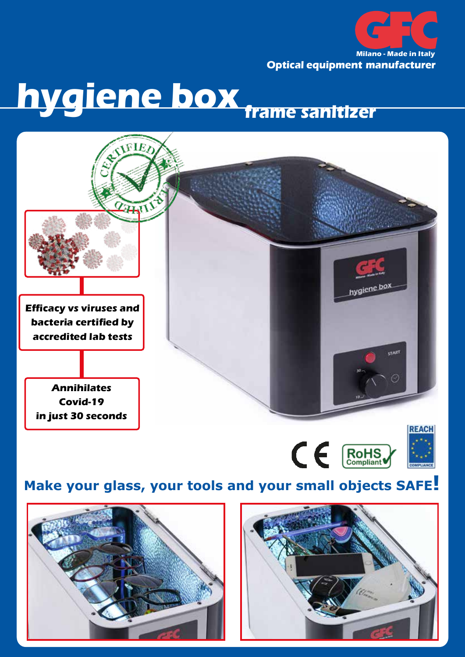

**Milano - Made in Italy Optical equipment manufacturer**

## **hygiene box frame sanitizer**





## **Make your glass, your tools and your small objects SAFE!**